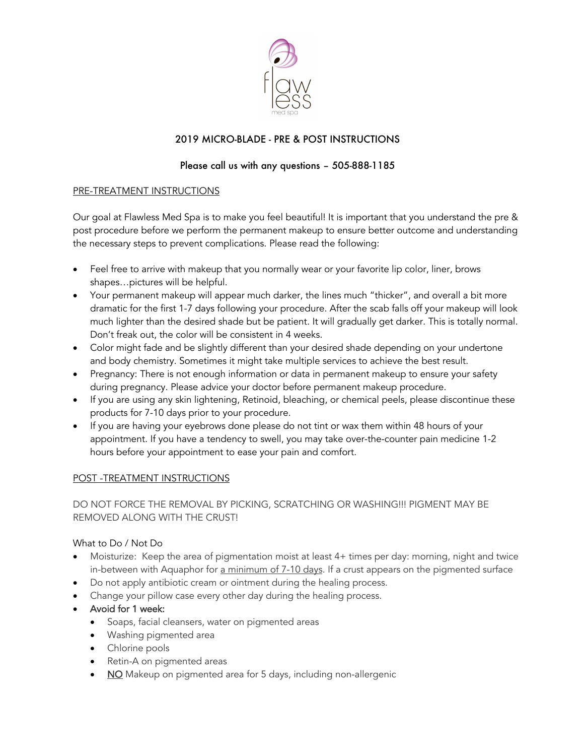

# 2019 MICRO-BLADE - PRE & POST INSTRUCTIONS

## Please call us with any questions – 505-888-1185

## PRE-TREATMENT INSTRUCTIONS

Our goal at Flawless Med Spa is to make you feel beautiful! It is important that you understand the pre & post procedure before we perform the permanent makeup to ensure better outcome and understanding the necessary steps to prevent complications. Please read the following:

- Feel free to arrive with makeup that you normally wear or your favorite lip color, liner, brows shapes…pictures will be helpful.
- Your permanent makeup will appear much darker, the lines much "thicker", and overall a bit more dramatic for the first 1-7 days following your procedure. After the scab falls off your makeup will look much lighter than the desired shade but be patient. It will gradually get darker. This is totally normal. Don't freak out, the color will be consistent in 4 weeks.
- Color might fade and be slightly different than your desired shade depending on your undertone and body chemistry. Sometimes it might take multiple services to achieve the best result.
- Pregnancy: There is not enough information or data in permanent makeup to ensure your safety during pregnancy. Please advice your doctor before permanent makeup procedure.
- If you are using any skin lightening, Retinoid, bleaching, or chemical peels, please discontinue these products for 7-10 days prior to your procedure.
- If you are having your eyebrows done please do not tint or wax them within 48 hours of your appointment. If you have a tendency to swell, you may take over-the-counter pain medicine 1-2 hours before your appointment to ease your pain and comfort.

## POST -TREATMENT INSTRUCTIONS

## DO NOT FORCE THE REMOVAL BY PICKING, SCRATCHING OR WASHING!!! PIGMENT MAY BE REMOVED ALONG WITH THE CRUST!

## What to Do / Not Do

- Moisturize: Keep the area of pigmentation moist at least 4+ times per day: morning, night and twice in-between with Aquaphor for a minimum of 7-10 days. If a crust appears on the pigmented surface
- Do not apply antibiotic cream or ointment during the healing process.
- Change your pillow case every other day during the healing process.
- Avoid for 1 week:
	- Soaps, facial cleansers, water on pigmented areas
	- Washing pigmented area
	- Chlorine pools
	- Retin-A on pigmented areas
	- NO Makeup on pigmented area for 5 days, including non-allergenic